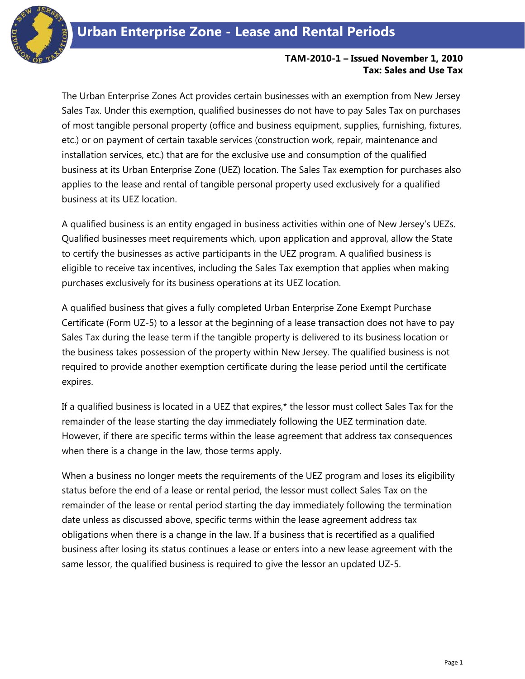

## **TAM-2010-1 – Issued November 1, 2010 Tax: Sales and Use Tax**

The Urban Enterprise Zones Act provides certain businesses with an exemption from New Jersey Sales Tax. Under this exemption, qualified businesses do not have to pay Sales Tax on purchases of most tangible personal property (office and business equipment, supplies, furnishing, fixtures, etc.) or on payment of certain taxable services (construction work, repair, maintenance and installation services, etc.) that are for the exclusive use and consumption of the qualified business at its Urban Enterprise Zone (UEZ) location. The Sales Tax exemption for purchases also applies to the lease and rental of tangible personal property used exclusively for a qualified business at its UEZ location.

A qualified business is an entity engaged in business activities within one of New Jersey's UEZs. Qualified businesses meet requirements which, upon application and approval, allow the State to certify the businesses as active participants in the UEZ program. A qualified business is eligible to receive tax incentives, including the Sales Tax exemption that applies when making purchases exclusively for its business operations at its UEZ location.

A qualified business that gives a fully completed Urban Enterprise Zone Exempt Purchase Certificate (Form UZ-5) to a lessor at the beginning of a lease transaction does not have to pay Sales Tax during the lease term if the tangible property is delivered to its business location or the business takes possession of the property within New Jersey. The qualified business is not required to provide another exemption certificate during the lease period until the certificate expires.

If a qualified business is located in a UEZ that expires,\* the lessor must collect Sales Tax for the remainder of the lease starting the day immediately following the UEZ termination date. However, if there are specific terms within the lease agreement that address tax consequences when there is a change in the law, those terms apply.

When a business no longer meets the requirements of the UEZ program and loses its eligibility status before the end of a lease or rental period, the lessor must collect Sales Tax on the remainder of the lease or rental period starting the day immediately following the termination date unless as discussed above, specific terms within the lease agreement address tax obligations when there is a change in the law. If a business that is recertified as a qualified business after losing its status continues a lease or enters into a new lease agreement with the same lessor, the qualified business is required to give the lessor an updated UZ-5.